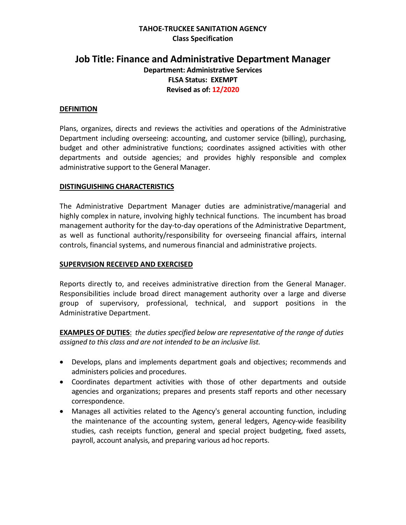## **TAHOE-TRUCKEE SANITATION AGENCY Class Specification**

# **Job Title: Finance and Administrative Department Manager Department: Administrative Services FLSA Status: EXEMPT Revised as of: 12/2020**

#### **DEFINITION**

Plans, organizes, directs and reviews the activities and operations of the Administrative Department including overseeing: accounting, and customer service (billing), purchasing, budget and other administrative functions; coordinates assigned activities with other departments and outside agencies; and provides highly responsible and complex administrative support to the General Manager.

#### **DISTINGUISHING CHARACTERISTICS**

The Administrative Department Manager duties are administrative/managerial and highly complex in nature, involving highly technical functions. The incumbent has broad management authority for the day-to-day operations of the Administrative Department, as well as functional authority/responsibility for overseeing financial affairs, internal controls, financial systems, and numerous financial and administrative projects.

#### **SUPERVISION RECEIVED AND EXERCISED**

Reports directly to, and receives administrative direction from the General Manager. Responsibilities include broad direct management authority over a large and diverse group of supervisory, professional, technical, and support positions in the Administrative Department.

**EXAMPLES OF DUTIES**: *the duties specified below are representative of the range of duties assigned to this class and are not intended to be an inclusive list.* 

- Develops, plans and implements department goals and objectives; recommends and administers policies and procedures.
- Coordinates department activities with those of other departments and outside agencies and organizations; prepares and presents staff reports and other necessary correspondence.
- Manages all activities related to the Agency's general accounting function, including the maintenance of the accounting system, general ledgers, Agency-wide feasibility studies, cash receipts function, general and special project budgeting, fixed assets, payroll, account analysis, and preparing various ad hoc reports.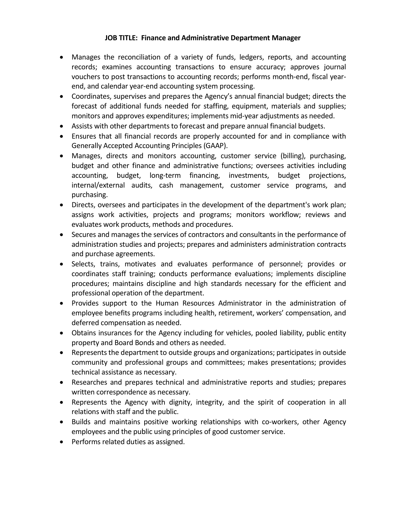- Manages the reconciliation of a variety of funds, ledgers, reports, and accounting records; examines accounting transactions to ensure accuracy; approves journal vouchers to post transactions to accounting records; performs month-end, fiscal yearend, and calendar year-end accounting system processing.
- Coordinates, supervises and prepares the Agency's annual financial budget; directs the forecast of additional funds needed for staffing, equipment, materials and supplies; monitors and approves expenditures; implements mid-year adjustments as needed.
- Assists with other departments to forecast and prepare annual financial budgets.
- Ensures that all financial records are properly accounted for and in compliance with Generally Accepted Accounting Principles (GAAP).
- Manages, directs and monitors accounting, customer service (billing), purchasing, budget and other finance and administrative functions; oversees activities including accounting, budget, long-term financing, investments, budget projections, internal/external audits, cash management, customer service programs, and purchasing.
- Directs, oversees and participates in the development of the department's work plan; assigns work activities, projects and programs; monitors workflow; reviews and evaluates work products, methods and procedures.
- Secures and manages the services of contractors and consultants in the performance of administration studies and projects; prepares and administers administration contracts and purchase agreements.
- Selects, trains, motivates and evaluates performance of personnel; provides or coordinates staff training; conducts performance evaluations; implements discipline procedures; maintains discipline and high standards necessary for the efficient and professional operation of the department.
- Provides support to the Human Resources Administrator in the administration of employee benefits programs including health, retirement, workers' compensation, and deferred compensation as needed.
- Obtains insurances for the Agency including for vehicles, pooled liability, public entity property and Board Bonds and others as needed.
- Represents the department to outside groups and organizations; participates in outside community and professional groups and committees; makes presentations; provides technical assistance as necessary.
- Researches and prepares technical and administrative reports and studies; prepares written correspondence as necessary.
- Represents the Agency with dignity, integrity, and the spirit of cooperation in all relations with staff and the public.
- Builds and maintains positive working relationships with co-workers, other Agency employees and the public using principles of good customer service.
- Performs related duties as assigned.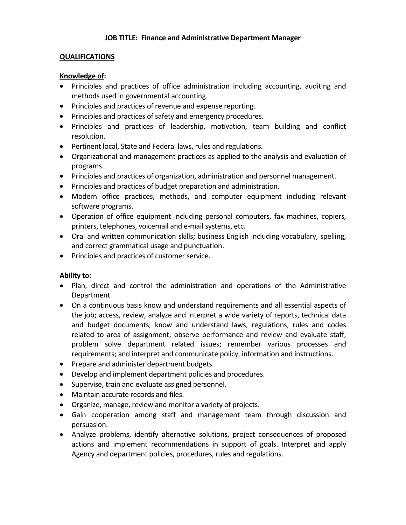#### **QUALIFICATIONS**

#### **Knowledge of:**

- Principles and practices of office administration including accounting, auditing and methods used in governmental accounting.
- Principles and practices of revenue and expense reporting.
- Principles and practices of safety and emergency procedures.
- Principles and practices of leadership, motivation, team building and conflict resolution.
- Pertinent local, State and Federal laws, rules and regulations.
- Organizational and management practices as applied to the analysis and evaluation of programs.
- Principles and practices of organization, administration and personnel management.
- Principles and practices of budget preparation and administration.
- Modern office practices, methods, and computer equipment including relevant software programs.
- Operation of office equipment including personal computers, fax machines, copiers, printers, telephones, voicemail and e-mail systems, etc.
- Oral and written communication skills; business English including vocabulary, spelling, and correct grammatical usage and punctuation.
- Principles and practices of customer service.

### **Ability to:**

- Plan, direct and control the administration and operations of the Administrative Department
- On a continuous basis know and understand requirements and all essential aspects of the job; access, review, analyze and interpret a wide variety of reports, technical data and budget documents; know and understand laws, regulations, rules and codes related to area of assignment; observe performance and review and evaluate staff; problem solve department related issues; remember various processes and requirements; and interpret and communicate policy, information and instructions.
- Prepare and administer department budgets.
- Develop and implement department policies and procedures.
- Supervise, train and evaluate assigned personnel.
- Maintain accurate records and files.
- Organize, manage, review and monitor a variety of projects.
- Gain cooperation among staff and management team through discussion and persuasion.
- Analyze problems, identify alternative solutions, project consequences of proposed actions and implement recommendations in support of goals. Interpret and apply Agency and department policies, procedures, rules and regulations.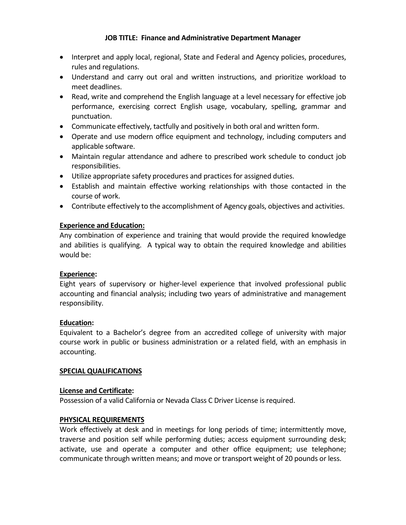- Interpret and apply local, regional, State and Federal and Agency policies, procedures, rules and regulations.
- Understand and carry out oral and written instructions, and prioritize workload to meet deadlines.
- Read, write and comprehend the English language at a level necessary for effective job performance, exercising correct English usage, vocabulary, spelling, grammar and punctuation.
- Communicate effectively, tactfully and positively in both oral and written form.
- Operate and use modern office equipment and technology, including computers and applicable software.
- Maintain regular attendance and adhere to prescribed work schedule to conduct job responsibilities.
- Utilize appropriate safety procedures and practices for assigned duties.
- Establish and maintain effective working relationships with those contacted in the course of work.
- Contribute effectively to the accomplishment of Agency goals, objectives and activities.

# **Experience and Education:**

Any combination of experience and training that would provide the required knowledge and abilities is qualifying. A typical way to obtain the required knowledge and abilities would be:

### **Experience:**

Eight years of supervisory or higher-level experience that involved professional public accounting and financial analysis; including two years of administrative and management responsibility.

# **Education:**

Equivalent to a Bachelor's degree from an accredited college of university with major course work in public or business administration or a related field, with an emphasis in accounting.

# **SPECIAL QUALIFICATIONS**

### **License and Certificate:**

Possession of a valid California or Nevada Class C Driver License is required.

### **PHYSICAL REQUIREMENTS**

Work effectively at desk and in meetings for long periods of time; intermittently move, traverse and position self while performing duties; access equipment surrounding desk; activate, use and operate a computer and other office equipment; use telephone; communicate through written means; and move or transport weight of 20 pounds or less.